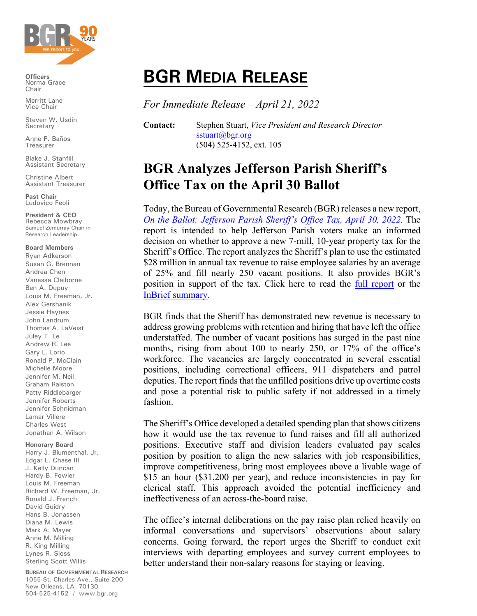

**Officers** Norma Grace Chair

Merritt Lane Vice Chair

Steven W. Usdin **Secretary** 

Anne P. Baños Treasurer

Blake J. Stanfill Assistant Secretary

Christine Albert Assistant Treasurer

**Past Chair** Ludovico Feoli

**President & CEO** Rebecca Mowbray Samuel Zemurray Chair in Research Leadership

## **Board Members**

Ryan Adkerson Susan G. Brennan Andrea Chen Vanessa Claiborne Ben A. Dupuy Louis M. Freeman, Jr. Alex Gershanik Jessie Haynes John Landrum Thomas A. LaVeist Juley T. Le Andrew R. Lee Gary L. Lorio Ronald P. McClain Michelle Moore Jennifer M. Neil Graham Ralston Patty Riddlebarger Jennifer Roberts Jennifer Schnidman Lamar Villere Charles West Jonathan A. Wilson

## **Honorary Board**

Harry J. Blumenthal, Jr. Edgar L. Chase III J. Kelly Duncan Hardy B. Fowler Louis M. Freeman Richard W. Freeman, Jr. Ronald J. French David Guidry Hans B. Jonassen Diana M. Lewis Mark A. Mayer Anne M. Milling R. King Milling Lynes R. Sloss Sterling Scott Willis

**BUREAU OF GOVERNMENTAL RESEARCH** 1055 St. Charles Ave., Suite 200 New Orleans, LA 70130 504-525-4152 / www.bgr.org

## **BGR MEDIA RELEASE**

*For Immediate Release – April 21, 2022*

**Contact:** Stephen Stuart, *Vice President and Research Director* [sstuart@bgr.org](mailto:sstuart@bgr.org) (504) 525-4152, ext. 105

## **BGR Analyzes Jefferson Parish Sheriff's Office Tax on the April 30 Ballot**

Today, the Bureau of Governmental Research (BGR) releases a new report, *[On the Ballot: Jefferson Parish Sheriff's Office](https://www.bgr.org/report-index/bgr-analyzes-jefferson-parish-sheriffs-office-tax-proposal) Tax, April 30, 2022.* The report is intended to help Jefferson Parish voters make an informed decision on whether to approve a new 7-mill, 10-year property tax for the Sheriff's Office. The report analyzes the Sheriff's plan to use the estimated \$28 million in annual tax revenue to raise employee salaries by an average of 25% and fill nearly 250 vacant positions. It also provides BGR's position in support of the tax. Click here to read the [full report](https://www.bgr.org/wp-content/uploads/bgr-jefferson-parish-sheriff-tax-ballot-report.pdf) or the [InBrief summary.](https://www.bgr.org/wp-content/uploads/bgr-inbrief-jefferson-parish-sheriff-tax-ballot-report.pdf)

BGR finds that the Sheriff has demonstrated new revenue is necessary to address growing problems with retention and hiring that have left the office understaffed. The number of vacant positions has surged in the past nine months, rising from about 100 to nearly 250, or 17% of the office's workforce. The vacancies are largely concentrated in several essential positions, including correctional officers, 911 dispatchers and patrol deputies. The report finds that the unfilled positions drive up overtime costs and pose a potential risk to public safety if not addressed in a timely fashion.

The Sheriff's Office developed a detailed spending plan that shows citizens how it would use the tax revenue to fund raises and fill all authorized positions. Executive staff and division leaders evaluated pay scales position by position to align the new salaries with job responsibilities, improve competitiveness, bring most employees above a livable wage of \$15 an hour (\$31,200 per year), and reduce inconsistencies in pay for clerical staff. This approach avoided the potential inefficiency and ineffectiveness of an across-the-board raise.

The office's internal deliberations on the pay raise plan relied heavily on informal conversations and supervisors' observations about salary concerns. Going forward, the report urges the Sheriff to conduct exit interviews with departing employees and survey current employees to better understand their non-salary reasons for staying or leaving.